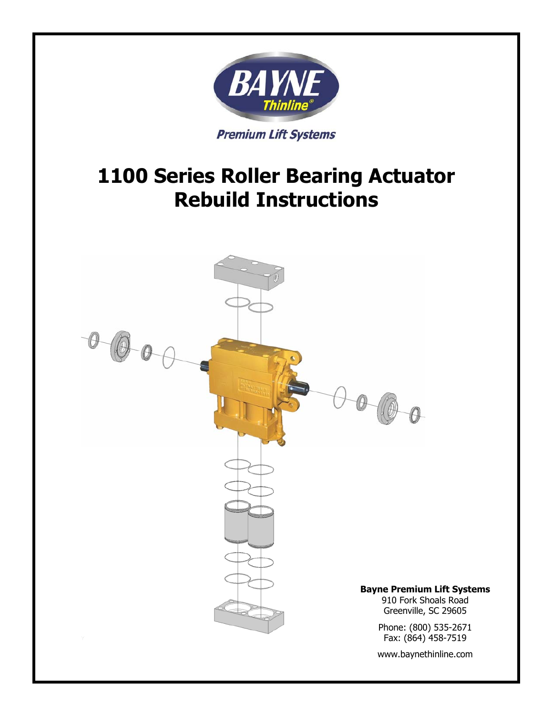



www.baynethinline.com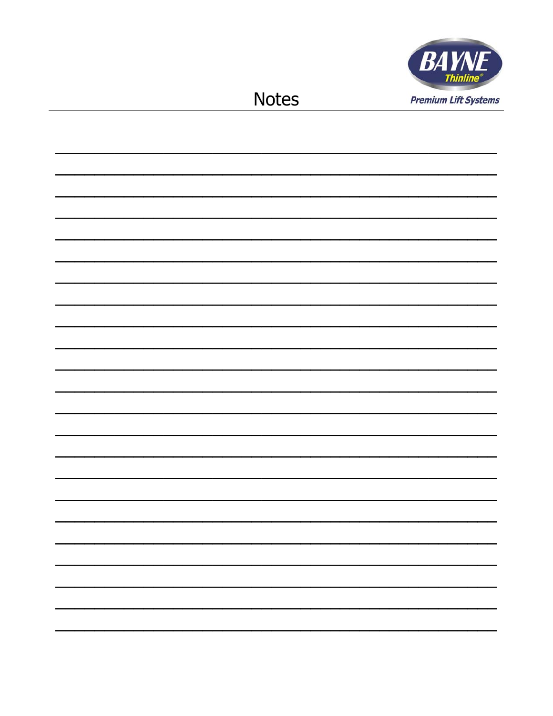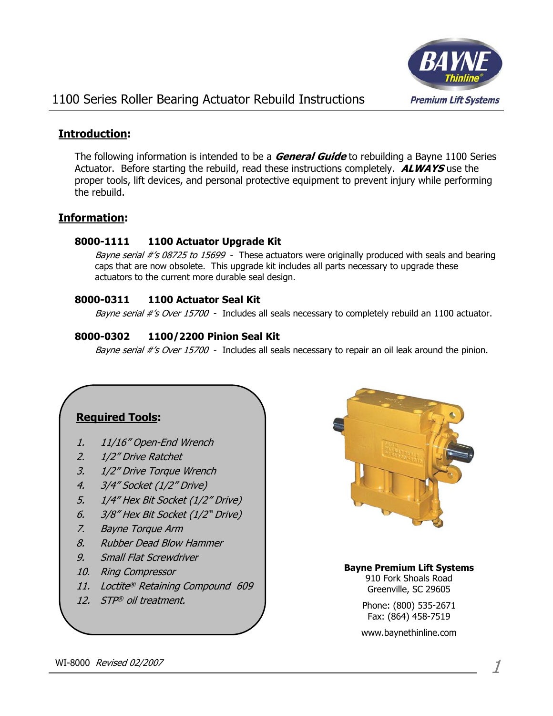

#### **Introduction:**

The following information is intended to be a **General Guide** to rebuilding a Bayne 1100 Series Actuator. Before starting the rebuild, read these instructions completely. **ALWAYS** use the proper tools, lift devices, and personal protective equipment to prevent injury while performing the rebuild.

#### **Information:**

#### **8000-1111 1100 Actuator Upgrade Kit**

Bayne serial #'s 08725 to 15699 - These actuators were originally produced with seals and bearing caps that are now obsolete. This upgrade kit includes all parts necessary to upgrade these actuators to the current more durable seal design.

#### **8000-0311 1100 Actuator Seal Kit**

Bayne serial #'s Over 15700 - Includes all seals necessary to completely rebuild an 1100 actuator.

#### **8000-0302 1100/2200 Pinion Seal Kit**

Bayne serial #'s Over 15700 - Includes all seals necessary to repair an oil leak around the pinion.





**Bayne Premium Lift Systems** 910 Fork Shoals Road Greenville, SC 29605

> Phone: (800) 535-2671 Fax: (864) 458-7519

www.baynethinline.com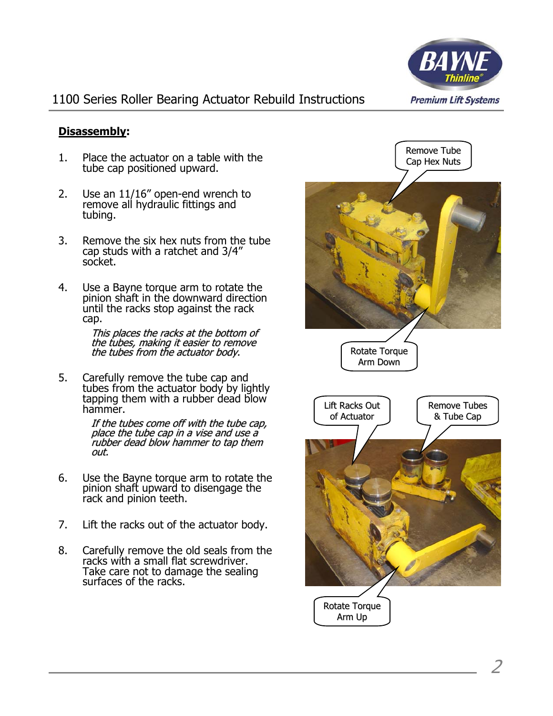

### **Disassembly:**

- 1. Place the actuator on a table with the tube cap positioned upward.
- 2. Use an 11/16" open-end wrench to remove all hydraulic fittings and tubing.
- 3. Remove the six hex nuts from the tube cap studs with a ratchet and 3/4" socket.
- 4. Use a Bayne torque arm to rotate the pinion shaft in the downward direction until the racks stop against the rack cap.

This places the racks at the bottom of the tubes, making it easier to remove the tubes from the actuator body.

5. Carefully remove the tube cap and<br>tubes from the actuator body by lightly tapping them with a rubber dead blow hammer.

> If the tubes come off with the tube cap, place the tube cap in a vise and use  $\overline{a}$ rubber dead blow hammer to tap them out.

- 6. Use the Bayne torque arm to rotate the pinion shaft upward to disengage the rack and pinion teeth.
- 7. Lift the racks out of the actuator body.
- 8. Carefully remove the old seals from the racks with a small flat screwdriver. Take care not to damage the sealing surfaces of the racks.

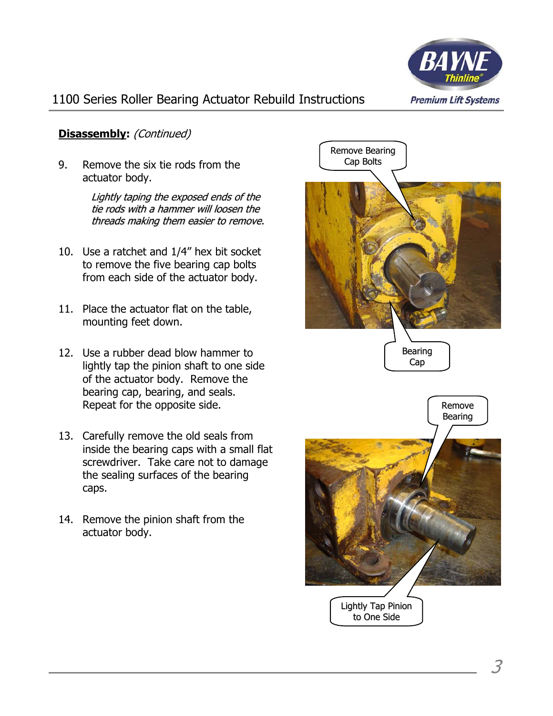

### **Disassembly:** (Continued)

9. Remove the six tie rods from the actuator body.

> Lightly taping the exposed ends of the tie rods with a hammer will loosen the threads making them easier to remove.

- 10. Use a ratchet and 1/4" hex bit socket to remove the five bearing cap bolts from each side of the actuator body.
- 11. Place the actuator flat on the table, mounting feet down.
- 12. Use a rubber dead blow hammer to lightly tap the pinion shaft to one side of the actuator body. Remove the bearing cap, bearing, and seals. Repeat for the opposite side.
- 13. Carefully remove the old seals from inside the bearing caps with a small flat screwdriver. Take care not to damage the sealing surfaces of the bearing caps.
- 14. Remove the pinion shaft from the actuator body.

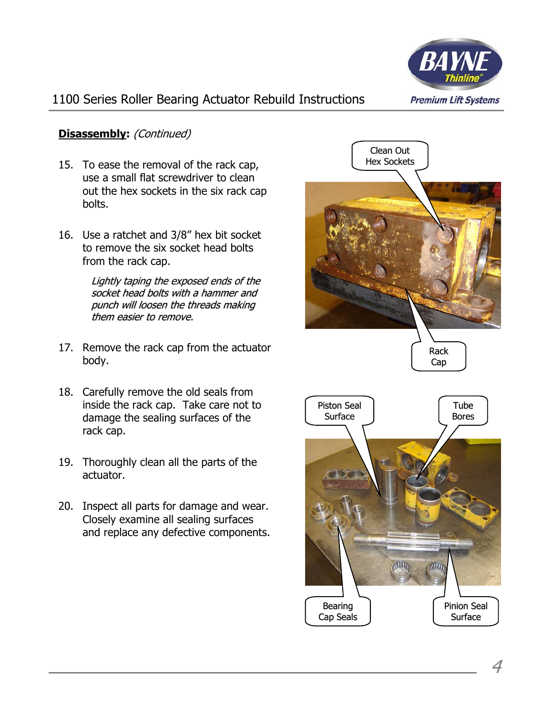

### **Disassembly:** (Continued)

- 15. To ease the removal of the rack cap, use a small flat screwdriver to clean out the hex sockets in the six rack cap bolts.
- 16. Use a ratchet and 3/8" hex bit socket to remove the six socket head bolts from the rack cap.

Lightly taping the exposed ends of the socket head bolts with a hammer and punch will loosen the threads making them easier to remove.

- 17. Remove the rack cap from the actuator body.
- 18. Carefully remove the old seals from inside the rack cap. Take care not to damage the sealing surfaces of the rack cap.
- 19. Thoroughly clean all the parts of the actuator.
- 20. Inspect all parts for damage and wear. Closely examine all sealing surfaces and replace any defective components.

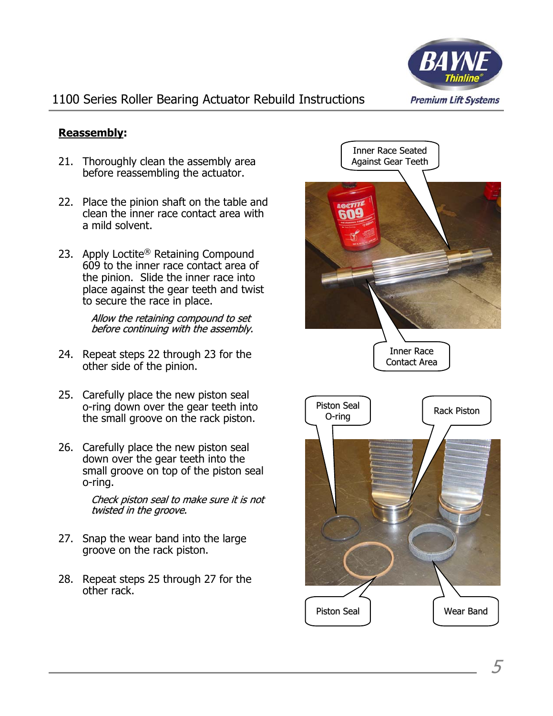

### **Reassembly:**

- 21. Thoroughly clean the assembly area before reassembling the actuator.
- 22. Place the pinion shaft on the table and clean the inner race contact area with a mild solvent.
- 23. Apply Loctite<sup>®</sup> Retaining Compound 609 to the inner race contact area of the pinion. Slide the inner race into place against the gear teeth and twist to secure the race in place.

Allow the retaining compound to set before continuing with the assembly.

- 24. Repeat steps 22 through 23 for the other side of the pinion.
- 25. Carefully place the new piston seal o-ring down over the gear teeth into the small groove on the rack piston.
- 26. Carefully place the new piston seal down over the gear teeth into the small groove on top of the piston seal o-ring.

Check piston seal to make sure it is not twisted in the groove.

- 27. Snap the wear band into the large groove on the rack piston.
- 28. Repeat steps 25 through 27 for the other rack.

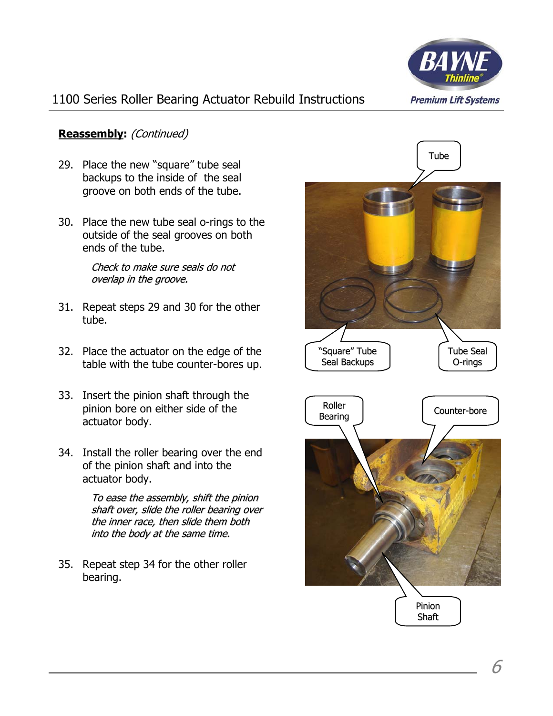

#### **Reassembly:** (Continued)

- 29. Place the new "square" tube seal backups to the inside of the seal groove on both ends of the tube.
- 30. Place the new tube seal o-rings to the outside of the seal grooves on both ends of the tube.

Check to make sure seals do not overlap in the groove.

- 31. Repeat steps 29 and 30 for the other tube.
- 32. Place the actuator on the edge of the table with the tube counter-bores up.
- 33. Insert the pinion shaft through the pinion bore on either side of the actuator body.
- 34. Install the roller bearing over the end of the pinion shaft and into the actuator body.

To ease the assembly, shift the pinion shaft over, slide the roller bearing over the inner race, then slide them both into the body at the same time.

35. Repeat step 34 for the other roller bearing.

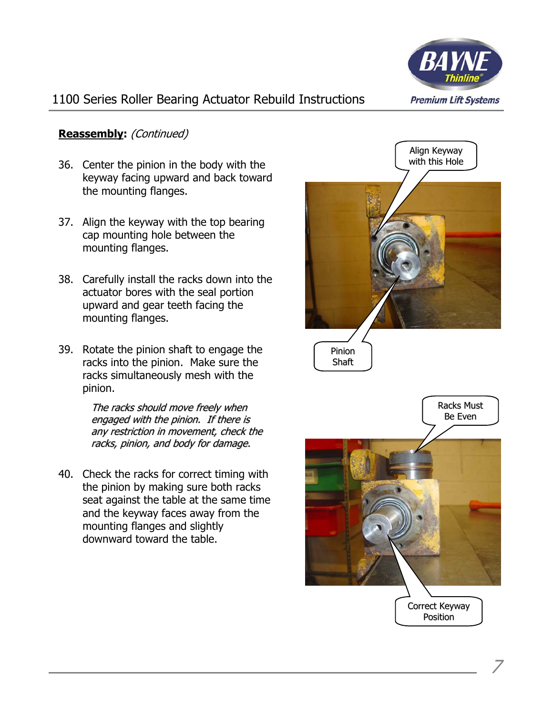

#### **Reassembly:** (Continued)

- 36. Center the pinion in the body with the keyway facing upward and back toward the mounting flanges.
- 37. Align the keyway with the top bearing cap mounting hole between the mounting flanges.
- 38. Carefully install the racks down into the actuator bores with the seal portion upward and gear teeth facing the mounting flanges.
- 39. Rotate the pinion shaft to engage the racks into the pinion. Make sure the racks simultaneously mesh with the pinion.

The racks should move freely when engaged with the pinion. If there is any restriction in movement, check the racks, pinion, and body for damage.

40. Check the racks for correct timing with the pinion by making sure both racks seat against the table at the same time and the keyway faces away from the mounting flanges and slightly downward toward the table.

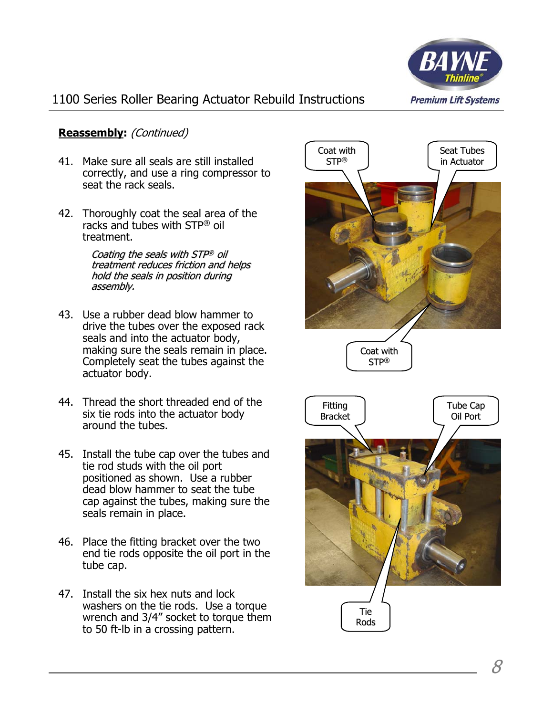

#### **Reassembly:** (Continued)

- 41. Make sure all seals are still installed correctly, and use a ring compressor to seat the rack seals.
- 42. Thoroughly coat the seal area of the racks and tubes with STP® oil treatment.

Coating the seals with STP® oil treatment reduces friction and helps hold the seals in position during assembly. assembly.

- 43. Use a rubber dead blow hammer to drive the tubes over the exposed rack seals and into the actuator body, making sure the seals remain in place. Completely seat the tubes against the actuator body.
- 44. Thread the short threaded end of the six tie rods into the actuator body around the tubes.
- 45. Install the tube cap over the tubes and tie rod studs with the oil port positioned as shown. Use a rubber dead blow hammer to seat the tube cap against the tubes, making sure the seals remain in place.
- 46. Place the fitting bracket over the two end tie rods opposite the oil port in the tube cap.
- 47. Install the six hex nuts and lock washers on the tie rods. Use a torque wrench and 3/4" socket to torque them to 50 ft-lb in a crossing pattern.

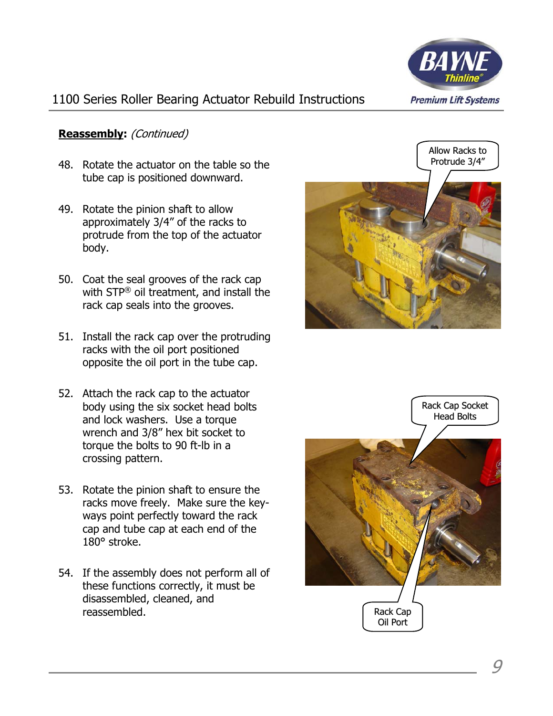

#### **Reassembly:** (Continued)

- 48. Rotate the actuator on the table so the tube cap is positioned downward.
- 49. Rotate the pinion shaft to allow approximately 3/4" of the racks to protrude from the top of the actuator body.
- 50. Coat the seal grooves of the rack cap with STP® oil treatment, and install the rack cap seals into the grooves.
- 51. Install the rack cap over the protruding racks with the oil port positioned opposite the oil port in the tube cap.
- 52. Attach the rack cap to the actuator body using the six socket head bolts and lock washers. Use a torque wrench and 3/8" hex bit socket to torque the bolts to 90 ft-lb in a crossing pattern.
- 53. Rotate the pinion shaft to ensure the racks move freely. Make sure the keyways point perfectly toward the rack cap and tube cap at each end of the 180° stroke.
- 54. If the assembly does not perform all of these functions correctly, it must be disassembled, cleaned, and reassembled.



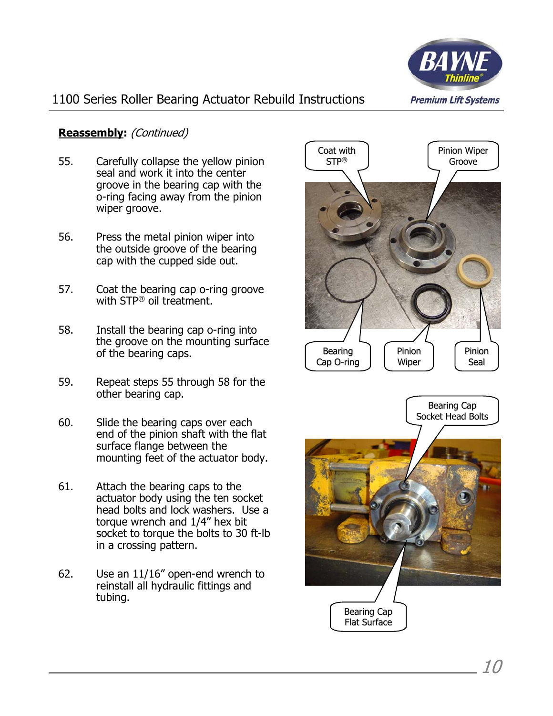

#### **Reassembly:** (Continued)

- 55. Carefully collapse the yellow pinion seal and work it into the center groove in the bearing cap with the o-ring facing away from the pinion wiper groove.
- 56. Press the metal pinion wiper into the outside groove of the bearing cap with the cupped side out.
- 57. Coat the bearing cap o-ring groove with STP® oil treatment.
- 58. Install the bearing cap o-ring into the groove on the mounting surface of the bearing caps.
- 59. Repeat steps 55 through 58 for the other bearing cap.
- 60. Slide the bearing caps over each end of the pinion shaft with the flat surface flange between the mounting feet of the actuator body.
- 61. Attach the bearing caps to the actuator body using the ten socket head bolts and lock washers. Use a torque wrench and 1/4" hex bit socket to torque the bolts to 30 ft-lb in a crossing pattern.
- 62. Use an 11/16" open-end wrench to reinstall all hydraulic fittings and tubing.